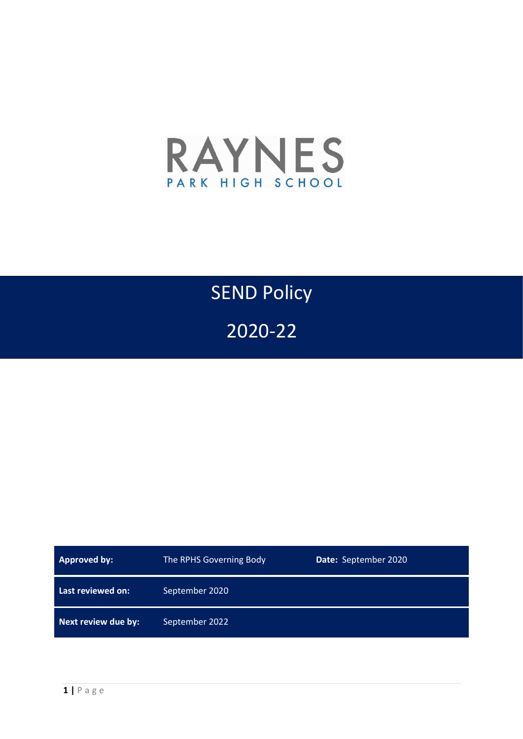

# SEND Policy

2020-22

| <b>Approved by:</b> | The RPHS Governing Body | Date: September 2020 |
|---------------------|-------------------------|----------------------|
| Last reviewed on:   | September 2020          |                      |
| Next review due by: | September 2022          |                      |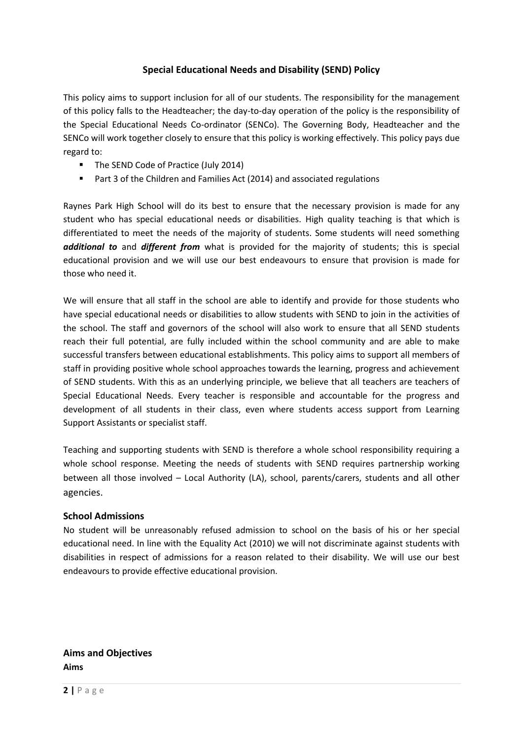## **Special Educational Needs and Disability (SEND) Policy**

This policy aims to support inclusion for all of our students. The responsibility for the management of this policy falls to the Headteacher; the day-to-day operation of the policy is the responsibility of the Special Educational Needs Co-ordinator (SENCo). The Governing Body, Headteacher and the SENCo will work together closely to ensure that this policy is working effectively. This policy pays due regard to:

- The SEND Code of Practice (July 2014)
- Part 3 of the Children and Families Act (2014) and associated regulations

Raynes Park High School will do its best to ensure that the necessary provision is made for any student who has special educational needs or disabilities. High quality teaching is that which is differentiated to meet the needs of the majority of students. Some students will need something *additional to* and *different from* what is provided for the majority of students; this is special educational provision and we will use our best endeavours to ensure that provision is made for those who need it.

We will ensure that all staff in the school are able to identify and provide for those students who have special educational needs or disabilities to allow students with SEND to join in the activities of the school. The staff and governors of the school will also work to ensure that all SEND students reach their full potential, are fully included within the school community and are able to make successful transfers between educational establishments. This policy aims to support all members of staff in providing positive whole school approaches towards the learning, progress and achievement of SEND students. With this as an underlying principle, we believe that all teachers are teachers of Special Educational Needs. Every teacher is responsible and accountable for the progress and development of all students in their class, even where students access support from Learning Support Assistants or specialist staff.

Teaching and supporting students with SEND is therefore a whole school responsibility requiring a whole school response. Meeting the needs of students with SEND requires partnership working between all those involved – Local Authority (LA), school, parents/carers, students and all other agencies.

## **School Admissions**

No student will be unreasonably refused admission to school on the basis of his or her special educational need. In line with the Equality Act (2010) we will not discriminate against students with disabilities in respect of admissions for a reason related to their disability. We will use our best endeavours to provide effective educational provision.

**Aims and Objectives Aims**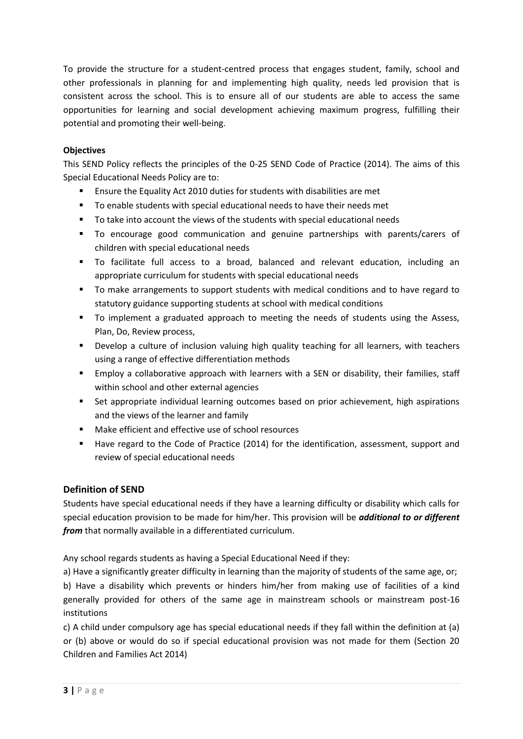To provide the structure for a student-centred process that engages student, family, school and other professionals in planning for and implementing high quality, needs led provision that is consistent across the school. This is to ensure all of our students are able to access the same opportunities for learning and social development achieving maximum progress, fulfilling their potential and promoting their well-being.

## **Objectives**

This SEND Policy reflects the principles of the 0-25 SEND Code of Practice (2014). The aims of this Special Educational Needs Policy are to:

- Ensure the Equality Act 2010 duties for students with disabilities are met
- To enable students with special educational needs to have their needs met
- To take into account the views of the students with special educational needs
- To encourage good communication and genuine partnerships with parents/carers of children with special educational needs
- To facilitate full access to a broad, balanced and relevant education, including an appropriate curriculum for students with special educational needs
- To make arrangements to support students with medical conditions and to have regard to statutory guidance supporting students at school with medical conditions
- To implement a graduated approach to meeting the needs of students using the Assess, Plan, Do, Review process,
- Develop a culture of inclusion valuing high quality teaching for all learners, with teachers using a range of effective differentiation methods
- Employ a collaborative approach with learners with a SEN or disability, their families, staff within school and other external agencies
- Set appropriate individual learning outcomes based on prior achievement, high aspirations and the views of the learner and family
- Make efficient and effective use of school resources
- Have regard to the Code of Practice (2014) for the identification, assessment, support and review of special educational needs

# **Definition of SEND**

Students have special educational needs if they have a learning difficulty or disability which calls for special education provision to be made for him/her. This provision will be *additional to or different from* that normally available in a differentiated curriculum.

Any school regards students as having a Special Educational Need if they:

a) Have a significantly greater difficulty in learning than the majority of students of the same age, or; b) Have a disability which prevents or hinders him/her from making use of facilities of a kind generally provided for others of the same age in mainstream schools or mainstream post-16 institutions

c) A child under compulsory age has special educational needs if they fall within the definition at (a) or (b) above or would do so if special educational provision was not made for them (Section 20 Children and Families Act 2014)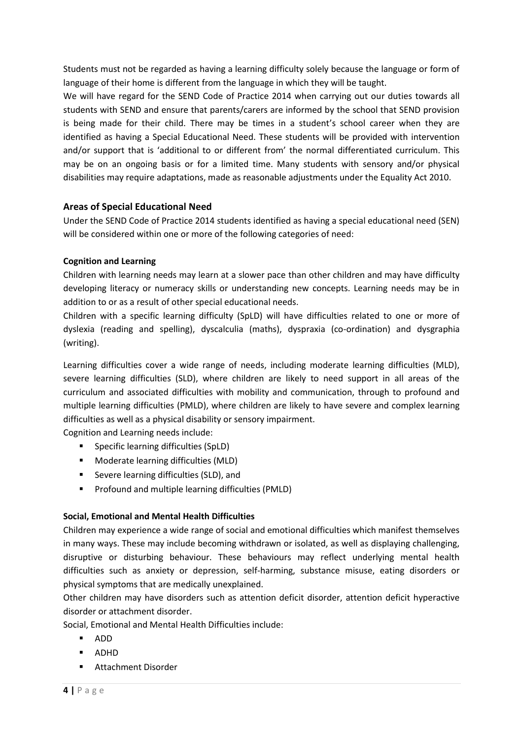Students must not be regarded as having a learning difficulty solely because the language or form of language of their home is different from the language in which they will be taught.

We will have regard for the SEND Code of Practice 2014 when carrying out our duties towards all students with SEND and ensure that parents/carers are informed by the school that SEND provision is being made for their child. There may be times in a student's school career when they are identified as having a Special Educational Need. These students will be provided with intervention and/or support that is 'additional to or different from' the normal differentiated curriculum. This may be on an ongoing basis or for a limited time. Many students with sensory and/or physical disabilities may require adaptations, made as reasonable adjustments under the Equality Act 2010.

# **Areas of Special Educational Need**

Under the SEND Code of Practice 2014 students identified as having a special educational need (SEN) will be considered within one or more of the following categories of need:

## **Cognition and Learning**

Children with learning needs may learn at a slower pace than other children and may have difficulty developing literacy or numeracy skills or understanding new concepts. Learning needs may be in addition to or as a result of other special educational needs.

Children with a specific learning difficulty (SpLD) will have difficulties related to one or more of dyslexia (reading and spelling), dyscalculia (maths), dyspraxia (co-ordination) and dysgraphia (writing).

Learning difficulties cover a wide range of needs, including moderate learning difficulties (MLD), severe learning difficulties (SLD), where children are likely to need support in all areas of the curriculum and associated difficulties with mobility and communication, through to profound and multiple learning difficulties (PMLD), where children are likely to have severe and complex learning difficulties as well as a physical disability or sensory impairment.

Cognition and Learning needs include:

- **Specific learning difficulties (SpLD)**
- **Moderate learning difficulties (MLD)**
- **Severe learning difficulties (SLD), and**
- **Profound and multiple learning difficulties (PMLD)**

## **Social, Emotional and Mental Health Difficulties**

Children may experience a wide range of social and emotional difficulties which manifest themselves in many ways. These may include becoming withdrawn or isolated, as well as displaying challenging, disruptive or disturbing behaviour. These behaviours may reflect underlying mental health difficulties such as anxiety or depression, self-harming, substance misuse, eating disorders or physical symptoms that are medically unexplained.

Other children may have disorders such as attention deficit disorder, attention deficit hyperactive disorder or attachment disorder.

Social, Emotional and Mental Health Difficulties include:

- ADD
- ADHD
- **Attachment Disorder**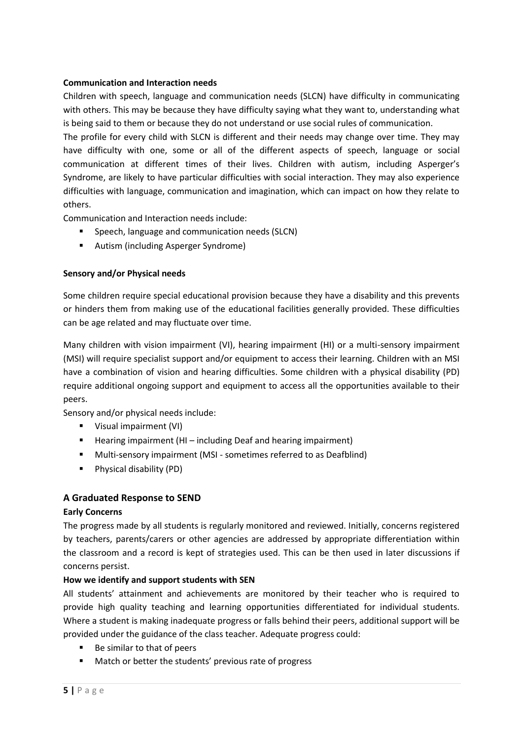#### **Communication and Interaction needs**

Children with speech, language and communication needs (SLCN) have difficulty in communicating with others. This may be because they have difficulty saying what they want to, understanding what is being said to them or because they do not understand or use social rules of communication.

The profile for every child with SLCN is different and their needs may change over time. They may have difficulty with one, some or all of the different aspects of speech, language or social communication at different times of their lives. Children with autism, including Asperger's Syndrome, are likely to have particular difficulties with social interaction. They may also experience difficulties with language, communication and imagination, which can impact on how they relate to others.

Communication and Interaction needs include:

- Speech, language and communication needs (SLCN)
- Autism (including Asperger Syndrome)

#### **Sensory and/or Physical needs**

Some children require special educational provision because they have a disability and this prevents or hinders them from making use of the educational facilities generally provided. These difficulties can be age related and may fluctuate over time.

Many children with vision impairment (VI), hearing impairment (HI) or a multi-sensory impairment (MSI) will require specialist support and/or equipment to access their learning. Children with an MSI have a combination of vision and hearing difficulties. Some children with a physical disability (PD) require additional ongoing support and equipment to access all the opportunities available to their peers.

Sensory and/or physical needs include:

- **Visual impairment (VI)**
- $\blacksquare$  Hearing impairment (HI including Deaf and hearing impairment)
- Multi-sensory impairment (MSI sometimes referred to as Deafblind)
- **Physical disability (PD)**

## **A Graduated Response to SEND**

#### **Early Concerns**

The progress made by all students is regularly monitored and reviewed. Initially, concerns registered by teachers, parents/carers or other agencies are addressed by appropriate differentiation within the classroom and a record is kept of strategies used. This can be then used in later discussions if concerns persist.

#### **How we identify and support students with SEN**

All students' attainment and achievements are monitored by their teacher who is required to provide high quality teaching and learning opportunities differentiated for individual students. Where a student is making inadequate progress or falls behind their peers, additional support will be provided under the guidance of the class teacher. Adequate progress could:

- Be similar to that of peers
- **Match or better the students' previous rate of progress**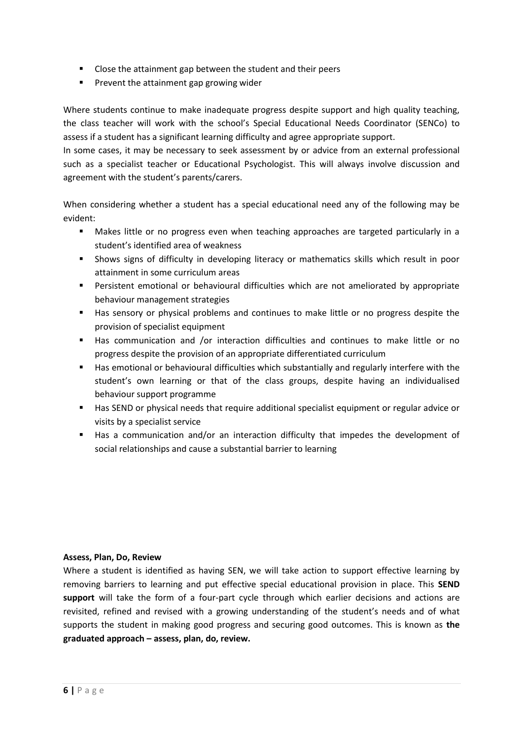- **EXECLORE THE ATT CLOSE the attainment gap between the student and their peers**
- **Prevent the attainment gap growing wider**

Where students continue to make inadequate progress despite support and high quality teaching, the class teacher will work with the school's Special Educational Needs Coordinator (SENCo) to assess if a student has a significant learning difficulty and agree appropriate support.

In some cases, it may be necessary to seek assessment by or advice from an external professional such as a specialist teacher or Educational Psychologist. This will always involve discussion and agreement with the student's parents/carers.

When considering whether a student has a special educational need any of the following may be evident:

- Makes little or no progress even when teaching approaches are targeted particularly in a student's identified area of weakness
- Shows signs of difficulty in developing literacy or mathematics skills which result in poor attainment in some curriculum areas
- Persistent emotional or behavioural difficulties which are not ameliorated by appropriate behaviour management strategies
- Has sensory or physical problems and continues to make little or no progress despite the provision of specialist equipment
- Has communication and /or interaction difficulties and continues to make little or no progress despite the provision of an appropriate differentiated curriculum
- **Has emotional or behavioural difficulties which substantially and regularly interfere with the** student's own learning or that of the class groups, despite having an individualised behaviour support programme
- Has SEND or physical needs that require additional specialist equipment or regular advice or visits by a specialist service
- Has a communication and/or an interaction difficulty that impedes the development of social relationships and cause a substantial barrier to learning

#### **Assess, Plan, Do, Review**

Where a student is identified as having SEN, we will take action to support effective learning by removing barriers to learning and put effective special educational provision in place. This **SEND support** will take the form of a four-part cycle through which earlier decisions and actions are revisited, refined and revised with a growing understanding of the student's needs and of what supports the student in making good progress and securing good outcomes. This is known as **the graduated approach – assess, plan, do, review.**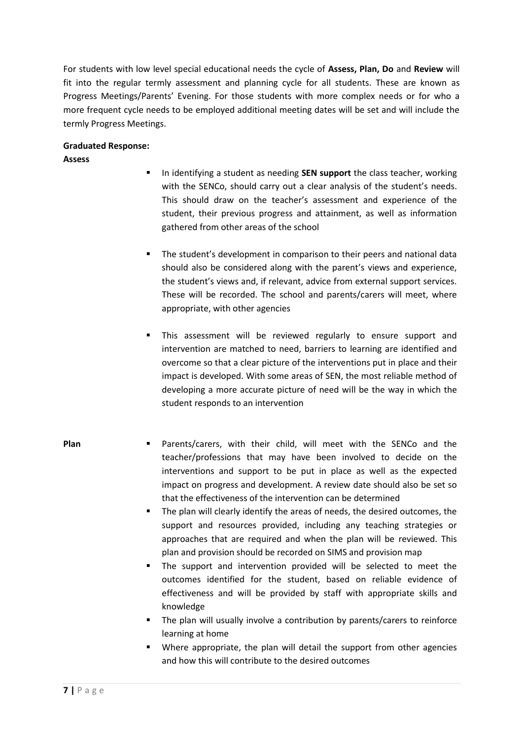For students with low level special educational needs the cycle of **Assess, Plan, Do** and **Review** will fit into the regular termly assessment and planning cycle for all students. These are known as Progress Meetings/Parents' Evening. For those students with more complex needs or for who a more frequent cycle needs to be employed additional meeting dates will be set and will include the termly Progress Meetings.

## **Graduated Response:**

## **Assess**

- **IF** In identifying a student as needing **SEN support** the class teacher, working with the SENCo, should carry out a clear analysis of the student's needs. This should draw on the teacher's assessment and experience of the student, their previous progress and attainment, as well as information gathered from other areas of the school
- The student's development in comparison to their peers and national data should also be considered along with the parent's views and experience, the student's views and, if relevant, advice from external support services. These will be recorded. The school and parents/carers will meet, where appropriate, with other agencies
- This assessment will be reviewed regularly to ensure support and intervention are matched to need, barriers to learning are identified and overcome so that a clear picture of the interventions put in place and their impact is developed. With some areas of SEN, the most reliable method of developing a more accurate picture of need will be the way in which the student responds to an intervention
- **Plan Parents/carers, with their child, will meet with the SENCo and the** teacher/professions that may have been involved to decide on the interventions and support to be put in place as well as the expected impact on progress and development. A review date should also be set so that the effectiveness of the intervention can be determined
	- The plan will clearly identify the areas of needs, the desired outcomes, the support and resources provided, including any teaching strategies or approaches that are required and when the plan will be reviewed. This plan and provision should be recorded on SIMS and provision map
	- The support and intervention provided will be selected to meet the outcomes identified for the student, based on reliable evidence of effectiveness and will be provided by staff with appropriate skills and knowledge
	- The plan will usually involve a contribution by parents/carers to reinforce learning at home
	- Where appropriate, the plan will detail the support from other agencies and how this will contribute to the desired outcomes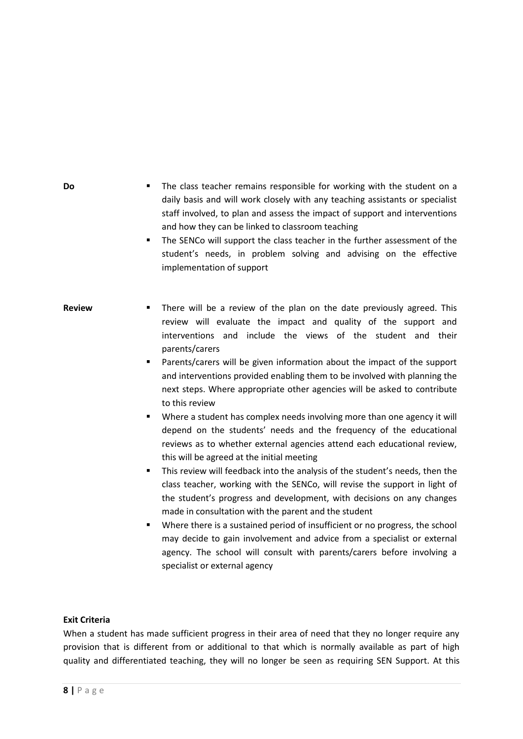| Do            | The class teacher remains responsible for working with the student on a<br>٠<br>daily basis and will work closely with any teaching assistants or specialist<br>staff involved, to plan and assess the impact of support and interventions<br>and how they can be linked to classroom teaching<br>The SENCo will support the class teacher in the further assessment of the<br>٠<br>student's needs, in problem solving and advising on the effective<br>implementation of support                                                                                                                                                                                                                                                                                                                                                                                                                                                                                                                                                                                                                                                                                                                                                                                                                                                                         |
|---------------|------------------------------------------------------------------------------------------------------------------------------------------------------------------------------------------------------------------------------------------------------------------------------------------------------------------------------------------------------------------------------------------------------------------------------------------------------------------------------------------------------------------------------------------------------------------------------------------------------------------------------------------------------------------------------------------------------------------------------------------------------------------------------------------------------------------------------------------------------------------------------------------------------------------------------------------------------------------------------------------------------------------------------------------------------------------------------------------------------------------------------------------------------------------------------------------------------------------------------------------------------------------------------------------------------------------------------------------------------------|
| <b>Review</b> | There will be a review of the plan on the date previously agreed. This<br>٠<br>review will evaluate the impact and quality of the support and<br>interventions and include the views of the student and their<br>parents/carers<br>Parents/carers will be given information about the impact of the support<br>٠<br>and interventions provided enabling them to be involved with planning the<br>next steps. Where appropriate other agencies will be asked to contribute<br>to this review<br>Where a student has complex needs involving more than one agency it will<br>٠<br>depend on the students' needs and the frequency of the educational<br>reviews as to whether external agencies attend each educational review,<br>this will be agreed at the initial meeting<br>This review will feedback into the analysis of the student's needs, then the<br>٠<br>class teacher, working with the SENCo, will revise the support in light of<br>the student's progress and development, with decisions on any changes<br>made in consultation with the parent and the student<br>Where there is a sustained period of insufficient or no progress, the school<br>٠<br>may decide to gain involvement and advice from a specialist or external<br>agency. The school will consult with parents/carers before involving a<br>specialist or external agency |

# **Exit Criteria**

When a student has made sufficient progress in their area of need that they no longer require any provision that is different from or additional to that which is normally available as part of high quality and differentiated teaching, they will no longer be seen as requiring SEN Support. At this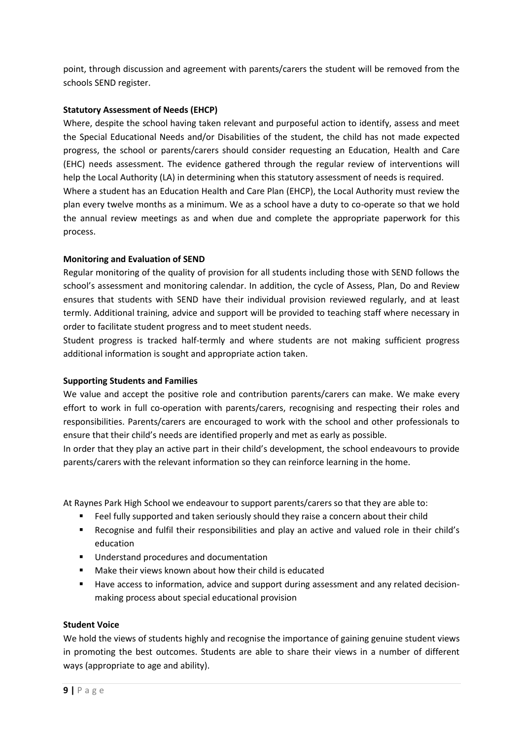point, through discussion and agreement with parents/carers the student will be removed from the schools SEND register.

## **Statutory Assessment of Needs (EHCP)**

Where, despite the school having taken relevant and purposeful action to identify, assess and meet the Special Educational Needs and/or Disabilities of the student, the child has not made expected progress, the school or parents/carers should consider requesting an Education, Health and Care (EHC) needs assessment. The evidence gathered through the regular review of interventions will help the Local Authority (LA) in determining when this statutory assessment of needs is required. Where a student has an Education Health and Care Plan (EHCP), the Local Authority must review the plan every twelve months as a minimum. We as a school have a duty to co-operate so that we hold the annual review meetings as and when due and complete the appropriate paperwork for this process.

## **Monitoring and Evaluation of SEND**

Regular monitoring of the quality of provision for all students including those with SEND follows the school's assessment and monitoring calendar. In addition, the cycle of Assess, Plan, Do and Review ensures that students with SEND have their individual provision reviewed regularly, and at least termly. Additional training, advice and support will be provided to teaching staff where necessary in order to facilitate student progress and to meet student needs.

Student progress is tracked half-termly and where students are not making sufficient progress additional information is sought and appropriate action taken.

## **Supporting Students and Families**

We value and accept the positive role and contribution parents/carers can make. We make every effort to work in full co-operation with parents/carers, recognising and respecting their roles and responsibilities. Parents/carers are encouraged to work with the school and other professionals to ensure that their child's needs are identified properly and met as early as possible.

In order that they play an active part in their child's development, the school endeavours to provide parents/carers with the relevant information so they can reinforce learning in the home.

At Raynes Park High School we endeavour to support parents/carers so that they are able to:

- Feel fully supported and taken seriously should they raise a concern about their child
- Recognise and fulfil their responsibilities and play an active and valued role in their child's education
- **Understand procedures and documentation**
- Make their views known about how their child is educated
- Have access to information, advice and support during assessment and any related decisionmaking process about special educational provision

## **Student Voice**

We hold the views of students highly and recognise the importance of gaining genuine student views in promoting the best outcomes. Students are able to share their views in a number of different ways (appropriate to age and ability).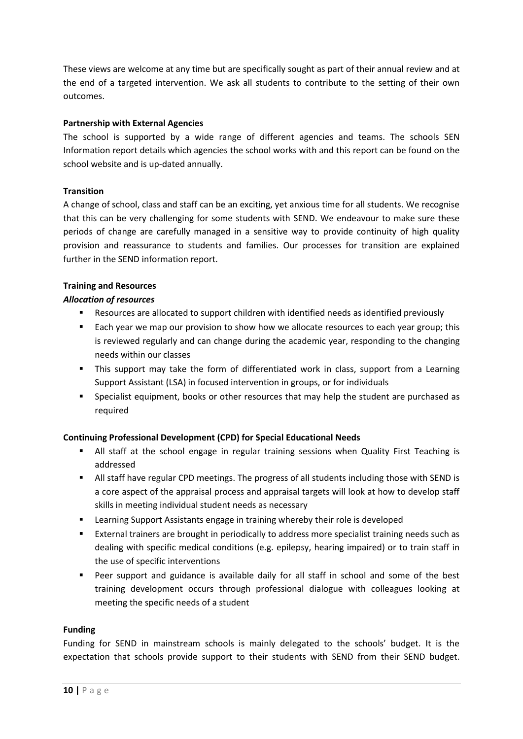These views are welcome at any time but are specifically sought as part of their annual review and at the end of a targeted intervention. We ask all students to contribute to the setting of their own outcomes.

#### **Partnership with External Agencies**

The school is supported by a wide range of different agencies and teams. The schools SEN Information report details which agencies the school works with and this report can be found on the school website and is up-dated annually.

#### **Transition**

A change of school, class and staff can be an exciting, yet anxious time for all students. We recognise that this can be very challenging for some students with SEND. We endeavour to make sure these periods of change are carefully managed in a sensitive way to provide continuity of high quality provision and reassurance to students and families. Our processes for transition are explained further in the SEND information report.

#### **Training and Resources**

#### *Allocation of resources*

- Resources are allocated to support children with identified needs as identified previously
- **Each year we map our provision to show how we allocate resources to each year group; this** is reviewed regularly and can change during the academic year, responding to the changing needs within our classes
- This support may take the form of differentiated work in class, support from a Learning Support Assistant (LSA) in focused intervention in groups, or for individuals
- Specialist equipment, books or other resources that may help the student are purchased as required

## **Continuing Professional Development (CPD) for Special Educational Needs**

- All staff at the school engage in regular training sessions when Quality First Teaching is addressed
- All staff have regular CPD meetings. The progress of all students including those with SEND is a core aspect of the appraisal process and appraisal targets will look at how to develop staff skills in meeting individual student needs as necessary
- Learning Support Assistants engage in training whereby their role is developed
- External trainers are brought in periodically to address more specialist training needs such as dealing with specific medical conditions (e.g. epilepsy, hearing impaired) or to train staff in the use of specific interventions
- Peer support and guidance is available daily for all staff in school and some of the best training development occurs through professional dialogue with colleagues looking at meeting the specific needs of a student

#### **Funding**

Funding for SEND in mainstream schools is mainly delegated to the schools' budget. It is the expectation that schools provide support to their students with SEND from their SEND budget.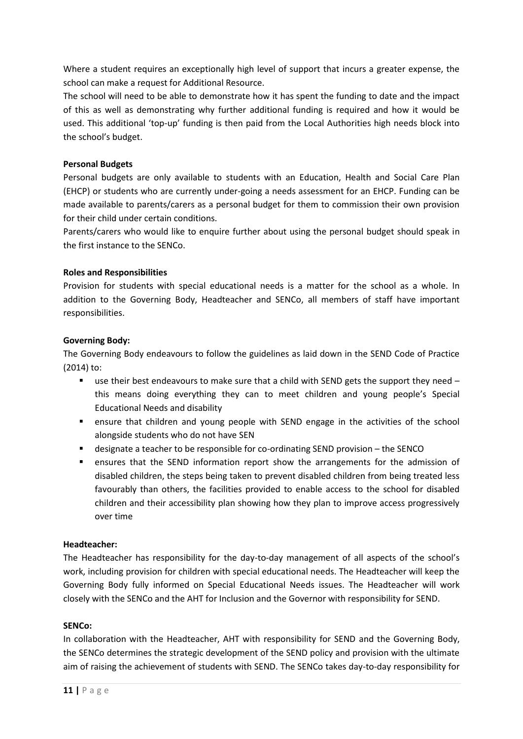Where a student requires an exceptionally high level of support that incurs a greater expense, the school can make a request for Additional Resource.

The school will need to be able to demonstrate how it has spent the funding to date and the impact of this as well as demonstrating why further additional funding is required and how it would be used. This additional 'top-up' funding is then paid from the Local Authorities high needs block into the school's budget.

## **Personal Budgets**

Personal budgets are only available to students with an Education, Health and Social Care Plan (EHCP) or students who are currently under-going a needs assessment for an EHCP. Funding can be made available to parents/carers as a personal budget for them to commission their own provision for their child under certain conditions.

Parents/carers who would like to enquire further about using the personal budget should speak in the first instance to the SENCo.

## **Roles and Responsibilities**

Provision for students with special educational needs is a matter for the school as a whole. In addition to the Governing Body, Headteacher and SENCo, all members of staff have important responsibilities.

## **Governing Body:**

The Governing Body endeavours to follow the guidelines as laid down in the SEND Code of Practice (2014) to:

- **use their best endeavours to make sure that a child with SEND gets the support they need** this means doing everything they can to meet children and young people's Special Educational Needs and disability
- ensure that children and young people with SEND engage in the activities of the school alongside students who do not have SEN
- designate a teacher to be responsible for co-ordinating SEND provision the SENCO
- ensures that the SEND information report show the arrangements for the admission of disabled children, the steps being taken to prevent disabled children from being treated less favourably than others, the facilities provided to enable access to the school for disabled children and their accessibility plan showing how they plan to improve access progressively over time

## **Headteacher:**

The Headteacher has responsibility for the day-to-day management of all aspects of the school's work, including provision for children with special educational needs. The Headteacher will keep the Governing Body fully informed on Special Educational Needs issues. The Headteacher will work closely with the SENCo and the AHT for Inclusion and the Governor with responsibility for SEND.

#### **SENCo:**

In collaboration with the Headteacher, AHT with responsibility for SEND and the Governing Body, the SENCo determines the strategic development of the SEND policy and provision with the ultimate aim of raising the achievement of students with SEND. The SENCo takes day-to-day responsibility for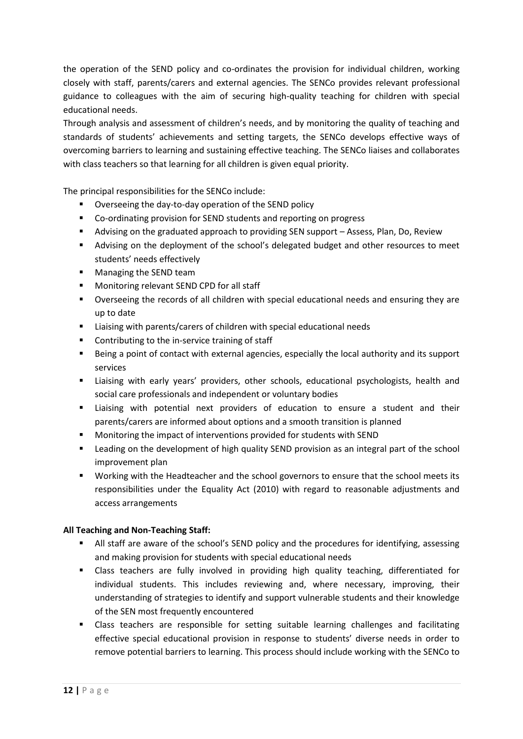the operation of the SEND policy and co-ordinates the provision for individual children, working closely with staff, parents/carers and external agencies. The SENCo provides relevant professional guidance to colleagues with the aim of securing high-quality teaching for children with special educational needs.

Through analysis and assessment of children's needs, and by monitoring the quality of teaching and standards of students' achievements and setting targets, the SENCo develops effective ways of overcoming barriers to learning and sustaining effective teaching. The SENCo liaises and collaborates with class teachers so that learning for all children is given equal priority.

The principal responsibilities for the SENCo include:

- Overseeing the day-to-day operation of the SEND policy
- Co-ordinating provision for SEND students and reporting on progress
- Advising on the graduated approach to providing SEN support Assess, Plan, Do, Review
- Advising on the deployment of the school's delegated budget and other resources to meet students' needs effectively
- **Managing the SEND team**
- **Monitoring relevant SEND CPD for all staff**
- Overseeing the records of all children with special educational needs and ensuring they are up to date
- Liaising with parents/carers of children with special educational needs
- **EXECONTREDUATE:** Contributing to the in-service training of staff
- Being a point of contact with external agencies, especially the local authority and its support services
- Liaising with early years' providers, other schools, educational psychologists, health and social care professionals and independent or voluntary bodies
- Liaising with potential next providers of education to ensure a student and their parents/carers are informed about options and a smooth transition is planned
- Monitoring the impact of interventions provided for students with SEND
- Leading on the development of high quality SEND provision as an integral part of the school improvement plan
- **Working with the Headteacher and the school governors to ensure that the school meets its** responsibilities under the Equality Act (2010) with regard to reasonable adjustments and access arrangements

## **All Teaching and Non-Teaching Staff:**

- All staff are aware of the school's SEND policy and the procedures for identifying, assessing and making provision for students with special educational needs
- Class teachers are fully involved in providing high quality teaching, differentiated for individual students. This includes reviewing and, where necessary, improving, their understanding of strategies to identify and support vulnerable students and their knowledge of the SEN most frequently encountered
- Class teachers are responsible for setting suitable learning challenges and facilitating effective special educational provision in response to students' diverse needs in order to remove potential barriers to learning. This process should include working with the SENCo to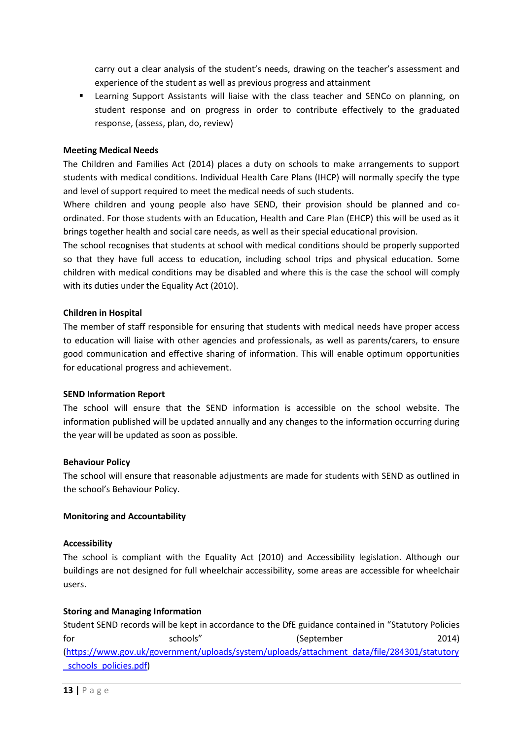carry out a clear analysis of the student's needs, drawing on the teacher's assessment and experience of the student as well as previous progress and attainment

 Learning Support Assistants will liaise with the class teacher and SENCo on planning, on student response and on progress in order to contribute effectively to the graduated response, (assess, plan, do, review)

#### **Meeting Medical Needs**

The Children and Families Act (2014) places a duty on schools to make arrangements to support students with medical conditions. Individual Health Care Plans (IHCP) will normally specify the type and level of support required to meet the medical needs of such students.

Where children and young people also have SEND, their provision should be planned and coordinated. For those students with an Education, Health and Care Plan (EHCP) this will be used as it brings together health and social care needs, as well as their special educational provision.

The school recognises that students at school with medical conditions should be properly supported so that they have full access to education, including school trips and physical education. Some children with medical conditions may be disabled and where this is the case the school will comply with its duties under the Equality Act (2010).

#### **Children in Hospital**

The member of staff responsible for ensuring that students with medical needs have proper access to education will liaise with other agencies and professionals, as well as parents/carers, to ensure good communication and effective sharing of information. This will enable optimum opportunities for educational progress and achievement.

#### **SEND Information Report**

The school will ensure that the SEND information is accessible on the school website. The information published will be updated annually and any changes to the information occurring during the year will be updated as soon as possible.

#### **Behaviour Policy**

The school will ensure that reasonable adjustments are made for students with SEND as outlined in the school's Behaviour Policy.

#### **Monitoring and Accountability**

#### **Accessibility**

The school is compliant with the Equality Act (2010) and Accessibility legislation. Although our buildings are not designed for full wheelchair accessibility, some areas are accessible for wheelchair users.

#### **Storing and Managing Information**

Student SEND records will be kept in accordance to the DfE guidance contained in "Statutory Policies for schools" (September 2014) [\(https://www.gov.uk/government/uploads/system/uploads/attachment\\_data/file/284301/statutory](https://www.gov.uk/government/uploads/system/uploads/attachment_data/file/284301/statutory_schools_policies.pdf) [\\_schools\\_policies.pdf\)](https://www.gov.uk/government/uploads/system/uploads/attachment_data/file/284301/statutory_schools_policies.pdf)